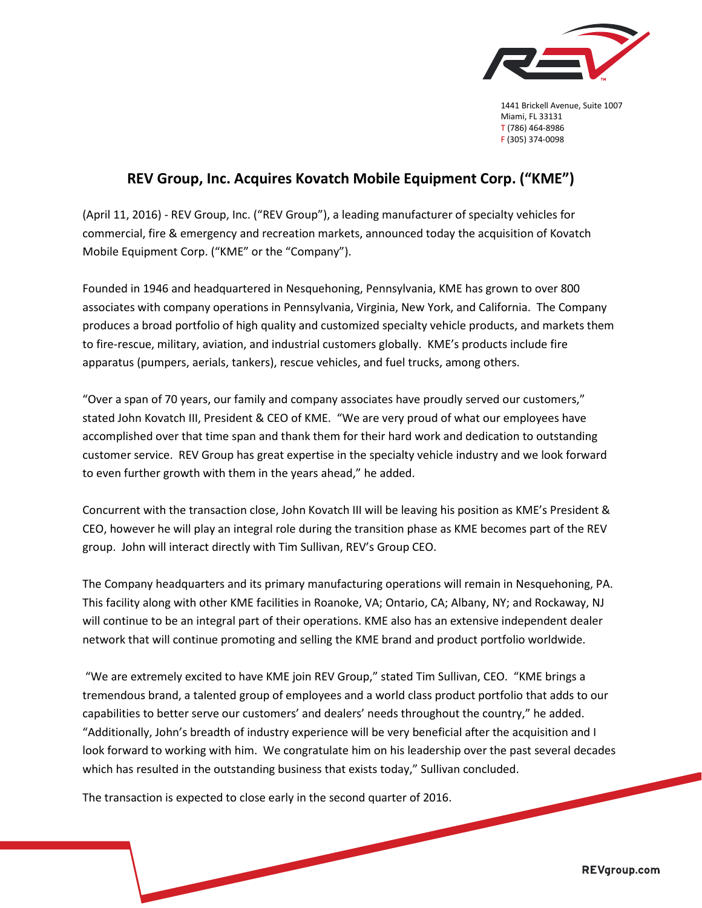

1441 Brickell Avenue, Suite 1007 Miami, FL 33131 T (786) 464-8986 F (305) 374-0098

## **REV Group, Inc. Acquires Kovatch Mobile Equipment Corp. ("KME")**

(April 11, 2016) - REV Group, Inc. ("REV Group"), a leading manufacturer of specialty vehicles for commercial, fire & emergency and recreation markets, announced today the acquisition of Kovatch Mobile Equipment Corp. ("KME" or the "Company").

Founded in 1946 and headquartered in Nesquehoning, Pennsylvania, KME has grown to over 800 associates with company operations in Pennsylvania, Virginia, New York, and California. The Company produces a broad portfolio of high quality and customized specialty vehicle products, and markets them to fire-rescue, military, aviation, and industrial customers globally. KME's products include fire apparatus (pumpers, aerials, tankers), rescue vehicles, and fuel trucks, among others.

"Over a span of 70 years, our family and company associates have proudly served our customers," stated John Kovatch III, President & CEO of KME. "We are very proud of what our employees have accomplished over that time span and thank them for their hard work and dedication to outstanding customer service. REV Group has great expertise in the specialty vehicle industry and we look forward to even further growth with them in the years ahead," he added.

Concurrent with the transaction close, John Kovatch III will be leaving his position as KME's President & CEO, however he will play an integral role during the transition phase as KME becomes part of the REV group. John will interact directly with Tim Sullivan, REV's Group CEO.

The Company headquarters and its primary manufacturing operations will remain in Nesquehoning, PA. This facility along with other KME facilities in Roanoke, VA; Ontario, CA; Albany, NY; and Rockaway, NJ will continue to be an integral part of their operations. KME also has an extensive independent dealer network that will continue promoting and selling the KME brand and product portfolio worldwide.

"We are extremely excited to have KME join REV Group," stated Tim Sullivan, CEO. "KME brings a tremendous brand, a talented group of employees and a world class product portfolio that adds to our capabilities to better serve our customers' and dealers' needs throughout the country," he added. "Additionally, John's breadth of industry experience will be very beneficial after the acquisition and I look forward to working with him. We congratulate him on his leadership over the past several decades which has resulted in the outstanding business that exists today," Sullivan concluded.

The transaction is expected to close early in the second quarter of 2016.